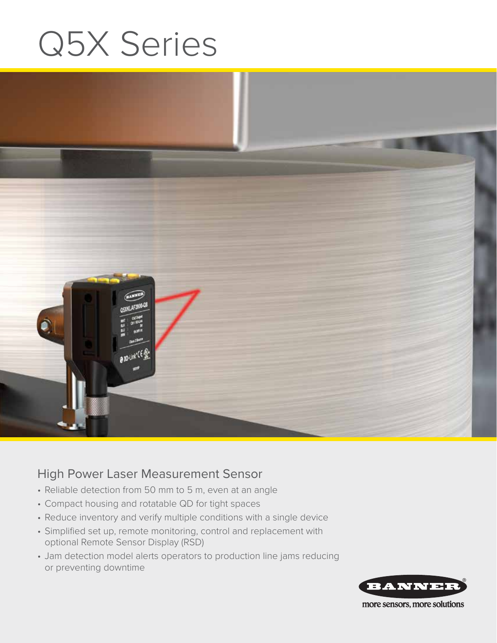# Q5X Series



### High Power Laser Measurement Sensor

- Reliable detection from 50 mm to 5 m, even at an angle
- Compact housing and rotatable QD for tight spaces
- Reduce inventory and verify multiple conditions with a single device
- Simplified set up, remote monitoring, control and replacement with optional Remote Sensor Display (RSD)
- Jam detection model alerts operators to production line jams reducing or preventing downtime



more sensors, more solutions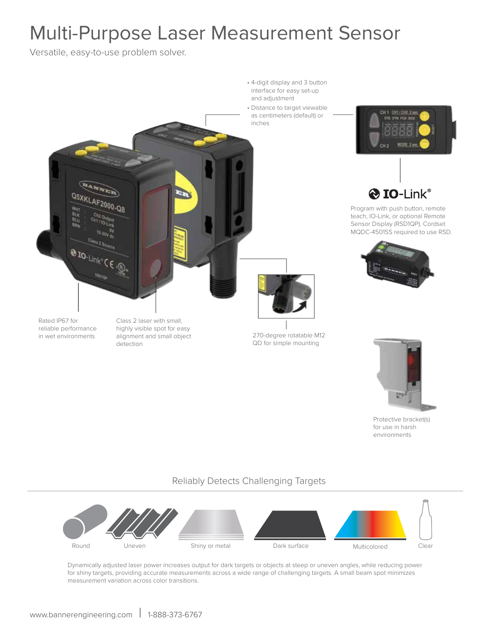# Multi-Purpose Laser Measurement Sensor

Versatile, easy-to-use problem solver.



Protective bracket(s) for use in harsh environments

#### Reliably Detects Challenging Targets



Dynamically adjusted laser power increases output for dark targets or objects at steep or uneven angles, while reducing power for shiny targets, providing accurate measurements across a wide range of challenging targets. A small beam spot minimizes measurement variation across color transitions.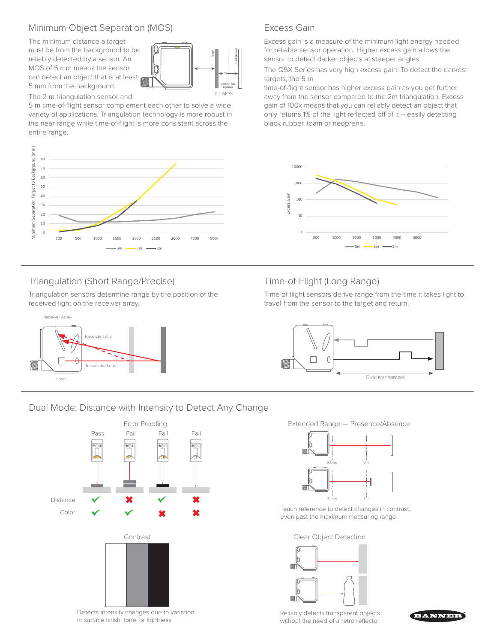#### Minimum Object Separation (MOS)

The minimum distance a target must be from the background to be reliably detected by a sensor. An MOS of 5 mm means the sensor can detect an object that is at least 5 mm from the background.



The 2 m triangulation sensor and

5 m time-of-flight sensor complement each other to solve a wide variety of applications. Triangulation technology is more robust in the near range while time-of-flight is more consistent across the entire range.



#### Triangulation (Short Range/Precise)

Triangulation sensors determine range by the position of the received light on the receiver array.



Excess Gain

Excess gain is a measure of the minimum light energy needed for reliable sensor operation. Higher excess gain allows the sensor to detect darker objects at steeper angles.

The Q5X Series has very high excess gain. To detect the darkest targets, the 5 m

time-of-flight sensor has higher excess gain as you get further away from the sensor compared to the 2m triangulation. Excess gain of 100x means that you can reliably detect an object that only returns 1% of the light reflected off of it – easily detecting black rubber, foam or neoprene.



#### Time-of-Flight (Long Range)

Time of flight sensors derive range from the time it takes light to travel from the sensor to the target and return.



#### Dual Mode: Distance with Intensity to Detect Any Change



Detects intensity changes due to variation in surface finish, tone, or lightness

Extended Range — Presence/Absence



Teach reference to detect changes in contrast, even past the maximum measuring range

Clear Object Detection



Reliably detects transparent objects without the need of a retro reflector

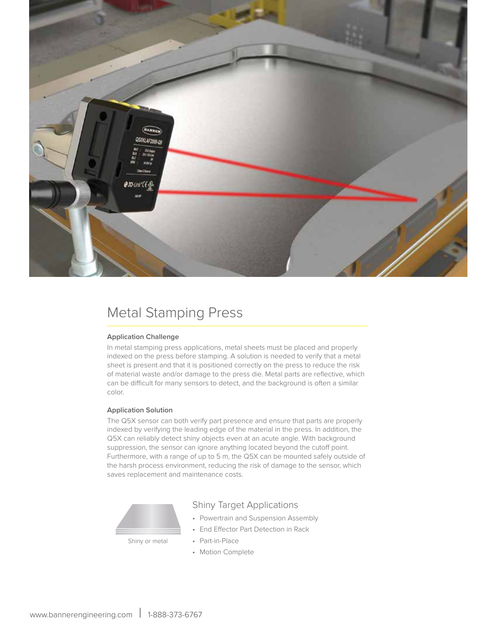

## Metal Stamping Press

#### **Application Challenge**

In metal stamping press applications, metal sheets must be placed and properly indexed on the press before stamping. A solution is needed to verify that a metal sheet is present and that it is positioned correctly on the press to reduce the risk of material waste and/or damage to the press die. Metal parts are reflective, which can be difficult for many sensors to detect, and the background is often a similar color.

#### **Application Solution**

The Q5X sensor can both verify part presence and ensure that parts are properly indexed by verifying the leading edge of the material in the press. In addition, the Q5X can reliably detect shiny objects even at an acute angle. With background suppression, the sensor can ignore anything located beyond the cutoff point. Furthermore, with a range of up to 5 m, the Q5X can be mounted safely outside of the harsh process environment, reducing the risk of damage to the sensor, which saves replacement and maintenance costs.



#### Shiny Target Applications

- Powertrain and Suspension Assembly
- End Effector Part Detection in Rack
- Part-in-Place
	- Motion Complete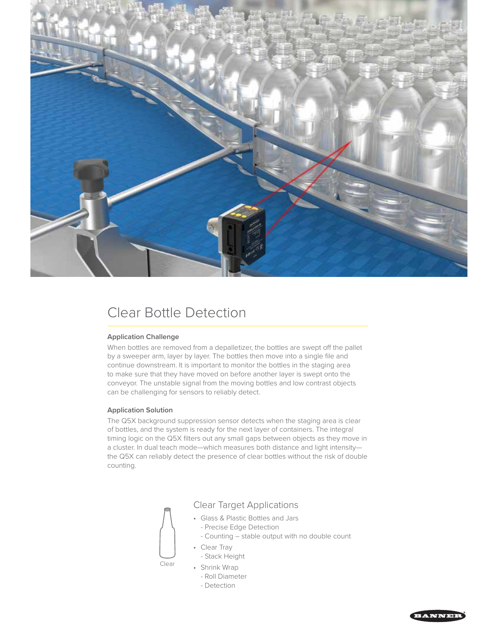

# Clear Bottle Detection

#### **Application Challenge**

When bottles are removed from a depalletizer, the bottles are swept off the pallet by a sweeper arm, layer by layer. The bottles then move into a single file and continue downstream. It is important to monitor the bottles in the staging area to make sure that they have moved on before another layer is swept onto the conveyor. The unstable signal from the moving bottles and low contrast objects can be challenging for sensors to reliably detect.

#### **Application Solution**

The Q5X background suppression sensor detects when the staging area is clear of bottles, and the system is ready for the next layer of containers. The integral timing logic on the Q5X filters out any small gaps between objects as they move in a cluster. In dual teach mode—which measures both distance and light intensity the Q5X can reliably detect the presence of clear bottles without the risk of double counting.

Clear Target Applications

- Glass & Plastic Bottles and Jars
	- Precise Edge Detection
- Counting stable output with no double count
- Clear Tray
	- Stack Height
- Shrink Wrap

Clear

- Roll Diameter
- Detection

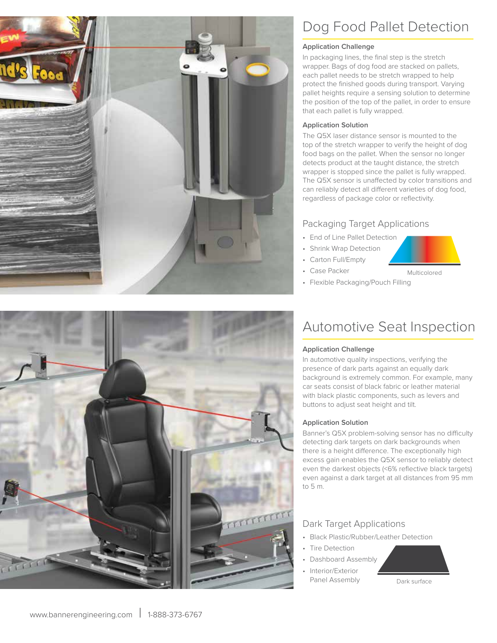

# Dog Food Pallet Detection

#### **Application Challenge**

In packaging lines, the final step is the stretch wrapper. Bags of dog food are stacked on pallets, each pallet needs to be stretch wrapped to help protect the finished goods during transport. Varying pallet heights require a sensing solution to determine the position of the top of the pallet, in order to ensure that each pallet is fully wrapped.

#### **Application Solution**

The Q5X laser distance sensor is mounted to the top of the stretch wrapper to verify the height of dog food bags on the pallet. When the sensor no longer detects product at the taught distance, the stretch wrapper is stopped since the pallet is fully wrapped. The Q5X sensor is unaffected by color transitions and can reliably detect all different varieties of dog food, regardless of package color or reflectivity.

#### Packaging Target Applications

- End of Line Pallet Detection
- Shrink Wrap Detection
- Carton Full/Empty

• Case Packer



• Flexible Packaging/Pouch Filling



# Automotive Seat Inspection

#### **Application Challenge**

In automotive quality inspections, verifying the presence of dark parts against an equally dark background is extremely common. For example, many car seats consist of black fabric or leather material with black plastic components, such as levers and buttons to adjust seat height and tilt.

#### **Application Solution**

Banner's Q5X problem-solving sensor has no difficulty detecting dark targets on dark backgrounds when there is a height difference. The exceptionally high excess gain enables the Q5X sensor to reliably detect even the darkest objects (<6% reflective black targets) even against a dark target at all distances from 95 mm to 5 m.

#### Dark Target Applications

- Black Plastic/Rubber/Leather Detection
- Tire Detection
	- Dashboard Assembly
- Interior/Exterior Panel Assembly Dark surface

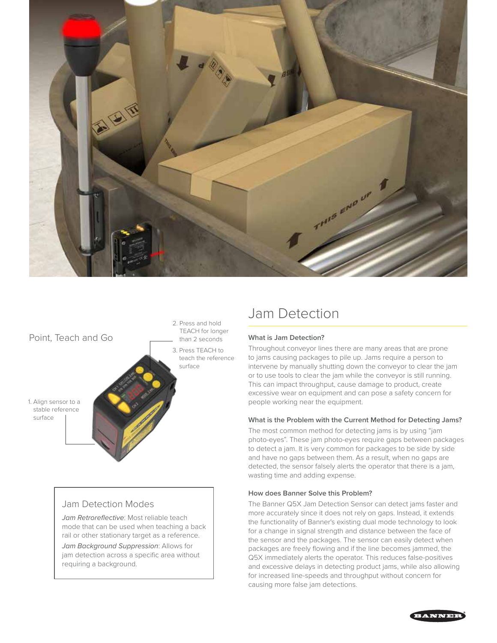



#### Jam Detection Modes

*Jam Retroreflective*: Most reliable teach mode that can be used when teaching a back rail or other stationary target as a reference.

*Jam Background Suppression*: Allows for jam detection across a specific area without requiring a background.

# Jam Detection

#### **What is Jam Detection?**

Throughout conveyor lines there are many areas that are prone to jams causing packages to pile up. Jams require a person to intervene by manually shutting down the conveyor to clear the jam or to use tools to clear the jam while the conveyor is still running. This can impact throughput, cause damage to product, create excessive wear on equipment and can pose a safety concern for people working near the equipment.

#### **What is the Problem with the Current Method for Detecting Jams?**

The most common method for detecting jams is by using "jam photo-eyes". These jam photo-eyes require gaps between packages to detect a jam. It is very common for packages to be side by side and have no gaps between them. As a result, when no gaps are detected, the sensor falsely alerts the operator that there is a jam, wasting time and adding expense.

#### **How does Banner Solve this Problem?**

The Banner Q5X Jam Detection Sensor can detect jams faster and more accurately since it does not rely on gaps. Instead, it extends the functionality of Banner's existing dual mode technology to look for a change in signal strength and distance between the face of the sensor and the packages. The sensor can easily detect when packages are freely flowing and if the line becomes jammed, the Q5X immediately alerts the operator. This reduces false-positives and excessive delays in detecting product jams, while also allowing for increased line-speeds and throughput without concern for causing more false jam detections.